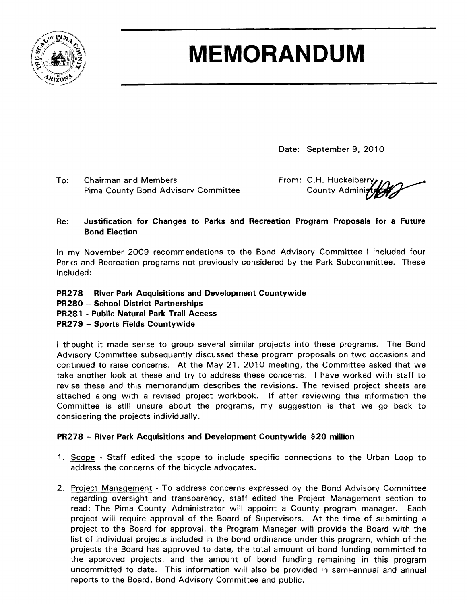

# **MEMORANDUM**

Date: September 9, 2010

To: Chairman and Members From: C.H. Huckelberry Pima County Bond Advisory Committee The County Administr

# Re: Justification for Changes to Parks and Recreation Program Proposals for a Future Bond Election

In my November 2009 recommendations to the Bond Advisory Committee I included four Parks and Recreation programs not previously considered by the Park Subcommittee. These included:

- PR278 River Park Acquisitions and Development Countywide
- PR280 School District Partnerships
- PR281 Public Natural Park Trail Access
- PR279 Sports Fields Countywide

I thought it made sense to group several similar projects into these programs. The Bond Advisory Committee subsequently discussed these program proposals on two occasions and continued to raise concerns. At the May 21, 2010 meeting, the Committee asked that we take another look at these and try to address these concerns. I have worked with staff to revise these and this memorandum describes the revisions. The revised project sheets are attached along with a revised project workbook. If after reviewing this information the Committee is still unsure about the programs, my suggestion is that we go back to considering the projects individually.

# PR278 - River Park Acquisitions and Development Countywide \$20 million

- 1. Scope Staff edited the scope to include specific connections to the Urban Loop to address the concerns of the bicycle advocates.
- 2. Project Management To address concerns expressed by the Bond Advisory Committee regarding oversight and transparency, staff edited the Project Management section to read: The Pima County Administrator will appoint a County program manager. Each project will require approval of the Board of Supervisors. At the time of submitting a project to the Board for approval, the Program Manager will provide the Board with the list of individual projects included in the bond ordinance under this program, which of the projects the Board has approved to date, the total amount of bond funding committed to the approved projects, and the amount of bond funding remaining in this program uncommitted to date. This information will also be provided in semi-annual and annual reports to the Board, Bond Advisory Committee and public.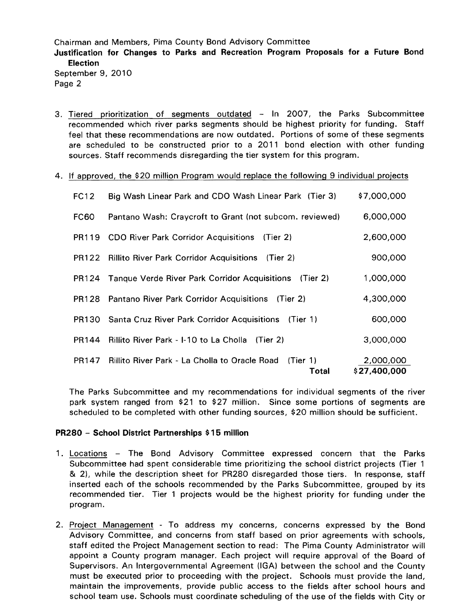Chairman and Members, Pima County Bond Advisory Committee Justification for Changes to Parks and Recreation Program Proposals for a Future Bond Election September 9, 2010 Page 2

- 3. Tiered prioritization of segments outdated  $-$  In 2007, the Parks Subcommittee recommended which river parks segments should be highest priority for funding. Staff feel that these recommendations are now outdated. Portions of some of these segments are scheduled to be constructed prior to a 2011 bond election with other funding sources. Staff recommends disregarding the tier system for this program.
- 4. If approved, the \$20 million Program would replace the following 9 individual projects

| FC12  | Big Wash Linear Park and CDO Wash Linear Park (Tier 3)                 | \$7,000,000               |
|-------|------------------------------------------------------------------------|---------------------------|
| FC60  | Pantano Wash: Craycroft to Grant (not subcom. reviewed)                | 6,000,000                 |
| PR119 | <b>CDO River Park Corridor Acquisitions</b><br>(Tier 2)                | 2,600,000                 |
| PR122 | Rillito River Park Corridor Acquisitions (Tier 2)                      | 900,000                   |
|       | <b>PR124</b> Tanque Verde River Park Corridor Acquisitions<br>(Tier 2) | 1,000,000                 |
|       | PR128 Pantano River Park Corridor Acquisitions (Tier 2)                | 4,300,000                 |
|       | <b>PR130</b> Santa Cruz River Park Corridor Acquisitions<br>(Tier 1)   | 600,000                   |
| PR144 | Rillito River Park - 1-10 to La Cholla (Tier 2)                        | 3,000,000                 |
| PR147 | Rillito River Park - La Cholla to Oracle Road<br>(Tier 1)<br>Total     | 2,000,000<br>\$27,400,000 |

The Parks Subcommittee and my recommendations for individual segments of the river park system ranged from \$21 to \$27 million. Since some portions of segments are scheduled to be completed with other funding sources, \$20 million should be sufficient.

#### PR280 - School District Partnerships \$15 million

- 1. Locations The Bond Advisory Committee expressed concern that the Parks Subcommittee had spent considerable time prioritizing the school district projects (Tier 1 & 2), while the description sheet for PR280 disregarded those tiers. In response, staff inserted each of the schools recommended by the Parks Subcommittee, grouped by its recommended tier. Tier 1 projects would be the highest priority for funding under the program.
- 2. Project Management To address my concerns, concerns expressed by the Bond Advisory Committee, and concerns from staff based on prior agreements with schools, staff edited the Project Management section to read: The Pima County Administrator will appoint a County program manager. Each project will require approval of the Board of Supervisors. An Intergovernmental Agreement (lGA) between the school and the County must be executed prior to proceeding with the project. Schools must provide the land, maintain the improvements, provide public access to the fields after school hours and school team use. Schools must coordinate scheduling of the use of the fields with City or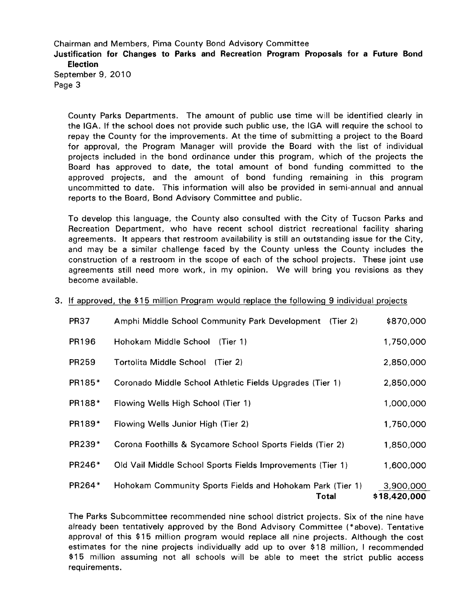Chairman and Members, Pima County Bond Advisory Committee Justification for Changes to Parks and Recreation Program Proposals for a Future Bond Election September 9, 2010 Page 3

County Parks Departments. The amount of public use time will be identified clearly in the IGA. If the school does not provide such public use, the IGA will require the school to repay the County for the improvements. At the time of submitting a project to the Board for approval, the Program Manager will provide the Board with the list of individual projects included in the bond ordinance under this program, which of the projects the Board has approved to date, the total amount of bond funding committed to the approved projects, and the amount of bond funding remaining in this program uncommitted to date. This information will also be provided in semi-annual and annual reports to the Board, Bond Advisory Committee and public.

To develop this language, the County also consulted with the City of Tucson Parks and Recreation Department, who have recent school district recreational facility sharing agreements. It appears that restroom availability is still an outstanding issue for the City, and may be a similar challenge faced by the County unless the County includes the construction of a restroom in the scope of each of the school projects. These joint use agreements still need more work, in my opinion. We will bring you revisions as they become available.

# 3. If approved, the \$15 million Program would replace the following 9 individual projects

| <b>PR37</b>  | Amphi Middle School Community Park Development<br>(Tier 2)         | \$870,000                 |
|--------------|--------------------------------------------------------------------|---------------------------|
| PR196        | Hohokam Middle School<br>(Tier 1)                                  | 1,750,000                 |
| <b>PR259</b> | Tortolita Middle School<br>(Tier 2)                                | 2,850,000                 |
| PR185*       | Coronado Middle School Athletic Fields Upgrades (Tier 1)           | 2,850,000                 |
| PR188*       | Flowing Wells High School (Tier 1)                                 | 1,000,000                 |
| PR189*       | Flowing Wells Junior High (Tier 2)                                 | 1,750,000                 |
| PR239*       | Corona Foothills & Sycamore School Sports Fields (Tier 2)          | 1,850,000                 |
| PR246*       | Old Vail Middle School Sports Fields Improvements (Tier 1)         | 1,600,000                 |
| PR264*       | Hohokam Community Sports Fields and Hohokam Park (Tier 1)<br>Total | 3,900,000<br>\$18,420,000 |

The Parks Subcommittee recommended nine school district projects. Six of the nine have already been tentatively approved by the Bond Advisory Committee (\*above). Tentative approval of this \$15 million program would replace all nine projects. Although the cost estimates for the nine projects individually add up to over \$18 million, I recommended \$15 million assuming not all schools will be able to meet the strict public access requirements.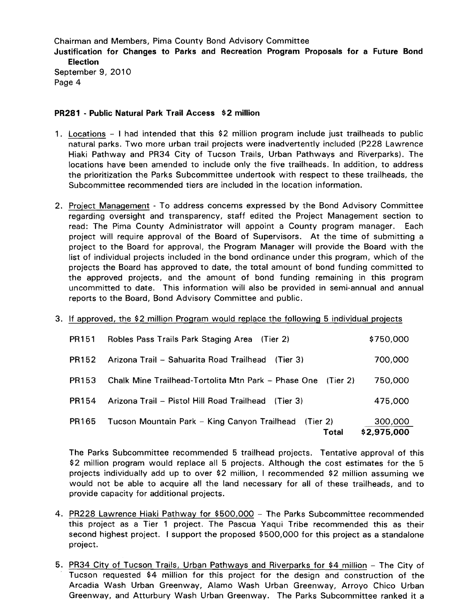Chairman and Members, Pima County Bond Advisory Committee Justification for Changes to Parks and Recreation Program Proposals for a Future Bond Election September 9, 2010 Page 4

# PR2S1 - Public Natural Park Trail Access \$2 million

- 1. Locations I had intended that this \$2 million program include just trailheads to public natural parks. Two more urban trail projects were inadvertently included (P228 Lawrence Hiaki Pathway and PR34 City of Tucson Trails, Urban Pathways and Riverparks). The locations have been amended to include only the five trailheads. In addition, to address the prioritization the Parks Subcommittee undertook with respect to these trailheads, the Subcommittee recommended tiers are included in the location information.
- 2. Project Management To address concerns expressed by the Bond Advisory Committee regarding oversight and transparency, staff edited the Project Management section to read: The Pima County Administrator will appoint a County program manager. Each project will require approval of the Board of Supervisors. At the time of submitting a project to the Board for approval, the Program Manager will provide the Board with the list of individual projects included in the bond ordinance under this program, which of the projects the Board has approved to date, the total amount of bond funding committed to the approved projects, and the amount of bond funding remaining in this program uncommitted to date. This information will also be provided in semi-annual and annual reports to the Board, Bond Advisory Committee and public.
- 3. If approved, the \$2 million Program would replace the following 5 individual projects

|              | Total                                                        | \$2,975,000 |
|--------------|--------------------------------------------------------------|-------------|
| PR165        | Tucson Mountain Park – King Canyon Trailhead (Tier 2)        | 300,000     |
| <b>PR154</b> | Arizona Trail - Pistol Hill Road Trailhead (Tier 3)          | 475,000     |
| PR153        | Chalk Mine Trailhead-Tortolita Mtn Park – Phase One (Tier 2) | 750,000     |
| PR152        | Arizona Trail - Sahuarita Road Trailhead<br>(Tier 3)         | 700,000     |
| PR151        | Robles Pass Trails Park Staging Area (Tier 2)                | \$750,000   |

The Parks Subcommittee recommended 5 trailhead projects. Tentative approval of this \$2 million program would replace all 5 projects. Although the cost estimates for the 5 projects individually add up to over \$2 million, I recommended \$2 million assuming we would not be able to acquire all the land necessary for all of these trailheads, and to provide capacity for additional projects.

- 4. PR228 Lawrence Hiaki Pathway for \$500,000 The Parks Subcommittee recommended this project as a Tier 1 project. The Pascua Yaqui Tribe recommended this as their second highest project. I support the proposed \$500,000 for this project as a standalone project.
- 5. PR34 City of Tucson Trails, Urban Pathways and Riverparks for \$4 million The City of Tucson requested \$4 million for this project for the design and construction of the Arcadia Wash Urban Greenway, Alamo Wash Urban Greenway, Arroyo Chico Urban Greenway, and Atturbury Wash Urban Greenway. The Parks Subcommittee ranked it a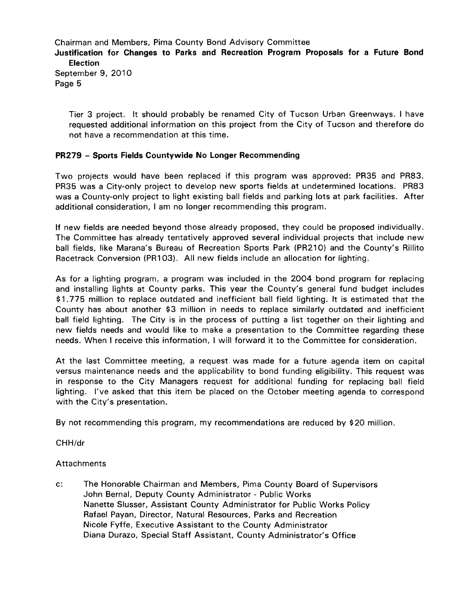Chairman and Members, Pima County Bond Advisory Committee Justification for Changes to Parks and Recreation Program Proposals for a Future Bond Election September 9, 2010 Page 5

Tier 3 project. It should probably be renamed City of Tucson Urban Greenways. I have requested additional information on this project from the City of Tucson and therefore do not have a recommendation at this time.

# PR279 - Sports Fields Countywide No Longer Recommending

Two projects would have been replaced if this program was approved: PR35 and PR83. PR35 was a City-only project to develop new sports fields at undetermined locations. PR83 was a County-only project to light existing ball fields and parking lots at park facilities. After additional consideration, I am no longer recommending this program.

If new fields are needed beyond those already proposed, they could be proposed individually. The Committee has already tentatively approved several individual projects that include new ball fields, like Marana's Bureau of Recreation Sports Park (PR210) and the County's Rillito Racetrack Conversion (PR103). All new fields include an allocation for lighting.

As for a lighting program, a program was included in the 2004 bond program for replacing and installing lights at County parks. This year the County's general fund budget includes \$1 .775 million to replace outdated and inefficient ball field lighting. It is estimated that the County has about another \$3 million in needs to replace similarly outdated and inefficient ball field lighting. The City is in the process of putting a list together on their lighting and new fields needs and would like to make a presentation to the Committee regarding these needs. When I receive this information, I will forward it to the Committee for consideration.

At the last Committee meeting, a request was made for a future agenda item on capital versus maintenance needs and the applicability to bond funding eligibility. This request was in response to the City Managers request for additional funding for replacing ball field lighting. I've asked that this item be placed on the October meeting agenda to correspond with the City's presentation.

By not recommending this program, my recommendations are reduced by \$20 million.

CHH/dr

# **Attachments**

c: The Honorable Chairman and Members, Pima County Board of Supervisors John Bernal, Deputy County Administrator - Public Works Nanette Slusser, Assistant County Administrator for Public Works Policy Rafael Payan, Director, Natural Resources, Parks and Recreation Nicole Fyffe, Executive Assistant to the County Administrator Diana Durazo, Special Staff Assistant, County Administrator's Office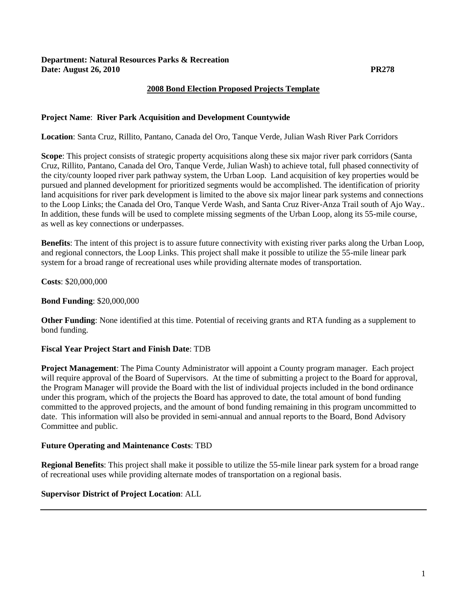# **Department: Natural Resources Parks & Recreation Date: August 26, 2010 PR278**

# **2008 Bond Election Proposed Projects Template**

# **Project Name**: **River Park Acquisition and Development Countywide**

**Location**: Santa Cruz, Rillito, Pantano, Canada del Oro, Tanque Verde, Julian Wash River Park Corridors

**Scope**: This project consists of strategic property acquisitions along these six major river park corridors (Santa Cruz, Rillito, Pantano, Canada del Oro, Tanque Verde, Julian Wash) to achieve total, full phased connectivity of the city/county looped river park pathway system, the Urban Loop. Land acquisition of key properties would be pursued and planned development for prioritized segments would be accomplished. The identification of priority land acquisitions for river park development is limited to the above six major linear park systems and connections to the Loop Links; the Canada del Oro, Tanque Verde Wash, and Santa Cruz River-Anza Trail south of Ajo Way.. In addition, these funds will be used to complete missing segments of the Urban Loop, along its 55-mile course, as well as key connections or underpasses.

**Benefits**: The intent of this project is to assure future connectivity with existing river parks along the Urban Loop, and regional connectors, the Loop Links. This project shall make it possible to utilize the 55-mile linear park system for a broad range of recreational uses while providing alternate modes of transportation.

**Costs**: \$20,000,000

# **Bond Funding**: \$20,000,000

**Other Funding**: None identified at this time. Potential of receiving grants and RTA funding as a supplement to bond funding.

# **Fiscal Year Project Start and Finish Date**: TDB

**Project Management**: The Pima County Administrator will appoint a County program manager. Each project will require approval of the Board of Supervisors. At the time of submitting a project to the Board for approval, the Program Manager will provide the Board with the list of individual projects included in the bond ordinance under this program, which of the projects the Board has approved to date, the total amount of bond funding committed to the approved projects, and the amount of bond funding remaining in this program uncommitted to date. This information will also be provided in semi-annual and annual reports to the Board, Bond Advisory Committee and public.

#### **Future Operating and Maintenance Costs**: TBD

**Regional Benefits**: This project shall make it possible to utilize the 55-mile linear park system for a broad range of recreational uses while providing alternate modes of transportation on a regional basis.

# **Supervisor District of Project Location**: ALL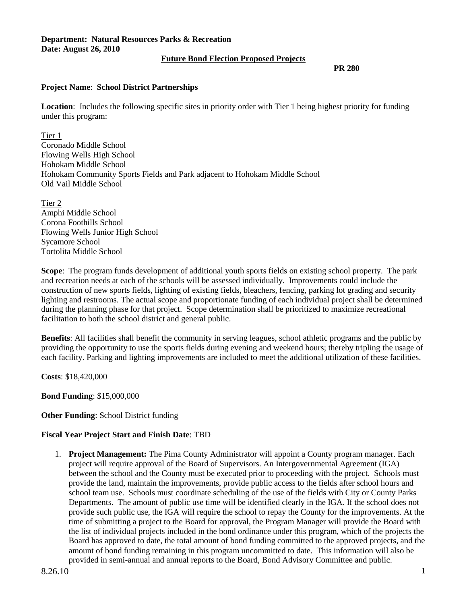# **Department: Natural Resources Parks & Recreation Date: August 26, 2010**

# **Future Bond Election Proposed Projects**

 **PR 280**

# **Project Name**: **School District Partnerships**

**Location**: Includes the following specific sites in priority order with Tier 1 being highest priority for funding under this program:

Tier 1

Coronado Middle School Flowing Wells High School Hohokam Middle School Hohokam Community Sports Fields and Park adjacent to Hohokam Middle School Old Vail Middle School

Tier 2 Amphi Middle School Corona Foothills School Flowing Wells Junior High School Sycamore School Tortolita Middle School

**Scope**: The program funds development of additional youth sports fields on existing school property. The park and recreation needs at each of the schools will be assessed individually. Improvements could include the construction of new sports fields, lighting of existing fields, bleachers, fencing, parking lot grading and security lighting and restrooms. The actual scope and proportionate funding of each individual project shall be determined during the planning phase for that project. Scope determination shall be prioritized to maximize recreational facilitation to both the school district and general public.

**Benefits**: All facilities shall benefit the community in serving leagues, school athletic programs and the public by providing the opportunity to use the sports fields during evening and weekend hours; thereby tripling the usage of each facility. Parking and lighting improvements are included to meet the additional utilization of these facilities.

**Costs**: \$18,420,000

**Bond Funding**: \$15,000,000

# **Other Funding**: School District funding

# **Fiscal Year Project Start and Finish Date**: TBD

1. **Project Management:** The Pima County Administrator will appoint a County program manager. Each project will require approval of the Board of Supervisors. An Intergovernmental Agreement (IGA) between the school and the County must be executed prior to proceeding with the project. Schools must provide the land, maintain the improvements, provide public access to the fields after school hours and school team use. Schools must coordinate scheduling of the use of the fields with City or County Parks Departments. The amount of public use time will be identified clearly in the IGA. If the school does not provide such public use, the IGA will require the school to repay the County for the improvements. At the time of submitting a project to the Board for approval, the Program Manager will provide the Board with the list of individual projects included in the bond ordinance under this program, which of the projects the Board has approved to date, the total amount of bond funding committed to the approved projects, and the amount of bond funding remaining in this program uncommitted to date. This information will also be provided in semi-annual and annual reports to the Board, Bond Advisory Committee and public.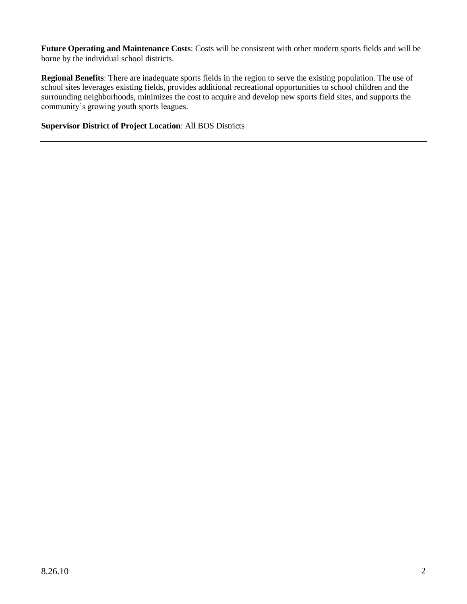**Future Operating and Maintenance Costs**: Costs will be consistent with other modern sports fields and will be borne by the individual school districts.

**Regional Benefits**: There are inadequate sports fields in the region to serve the existing population. The use of school sites leverages existing fields, provides additional recreational opportunities to school children and the surrounding neighborhoods, minimizes the cost to acquire and develop new sports field sites, and supports the community's growing youth sports leagues.

**Supervisor District of Project Location**: All BOS Districts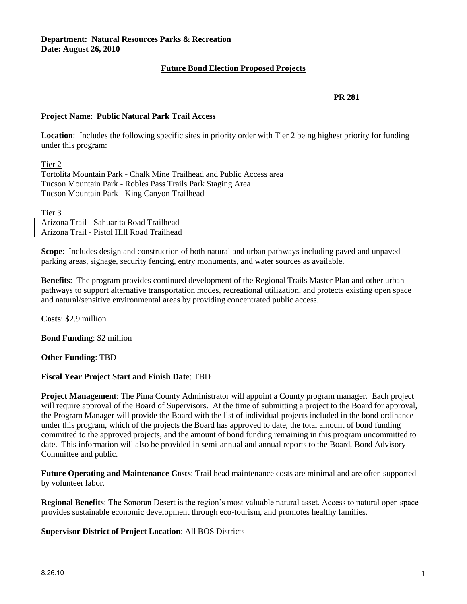# **Future Bond Election Proposed Projects**

# **PR 281**

# **Project Name**: **Public Natural Park Trail Access**

**Location**: Includes the following specific sites in priority order with Tier 2 being highest priority for funding under this program:

Tier 2

Tortolita Mountain Park - Chalk Mine Trailhead and Public Access area Tucson Mountain Park - Robles Pass Trails Park Staging Area Tucson Mountain Park - King Canyon Trailhead

Tier 3

Arizona Trail - Sahuarita Road Trailhead Arizona Trail - Pistol Hill Road Trailhead

**Scope**: Includes design and construction of both natural and urban pathways including paved and unpaved parking areas, signage, security fencing, entry monuments, and water sources as available.

**Benefits**: The program provides continued development of the Regional Trails Master Plan and other urban pathways to support alternative transportation modes, recreational utilization, and protects existing open space and natural/sensitive environmental areas by providing concentrated public access.

**Costs**: \$2.9 million

**Bond Funding**: \$2 million

**Other Funding**: TBD

# **Fiscal Year Project Start and Finish Date**: TBD

**Project Management**: The Pima County Administrator will appoint a County program manager. Each project will require approval of the Board of Supervisors. At the time of submitting a project to the Board for approval, the Program Manager will provide the Board with the list of individual projects included in the bond ordinance under this program, which of the projects the Board has approved to date, the total amount of bond funding committed to the approved projects, and the amount of bond funding remaining in this program uncommitted to date. This information will also be provided in semi-annual and annual reports to the Board, Bond Advisory Committee and public.

**Future Operating and Maintenance Costs**: Trail head maintenance costs are minimal and are often supported by volunteer labor.

**Regional Benefits**: The Sonoran Desert is the region's most valuable natural asset. Access to natural open space provides sustainable economic development through eco-tourism, and promotes healthy families.

**Supervisor District of Project Location**: All BOS Districts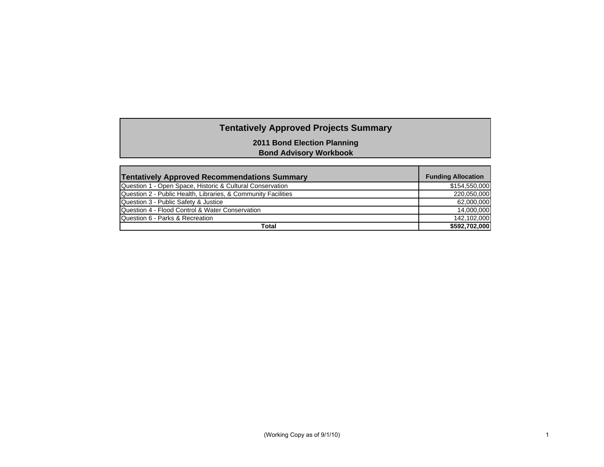# **Tentatively Approved Projects Summary**

**2011 Bond Election Planning**

**Bond Advisory Workbook**

| <b>Tentatively Approved Recommendations Summary</b>           | <b>Funding Allocation</b> |
|---------------------------------------------------------------|---------------------------|
| Question 1 - Open Space, Historic & Cultural Conservation     | \$154,550,000             |
| Question 2 - Public Health, Libraries, & Community Facilities | 220.050.000               |
| Question 3 - Public Safety & Justice                          | 62,000,000                |
| Question 4 - Flood Control & Water Conservation               | 14.000.000                |
| Question 6 - Parks & Recreation                               | 142.102.000               |
| Total                                                         | \$592,702,000             |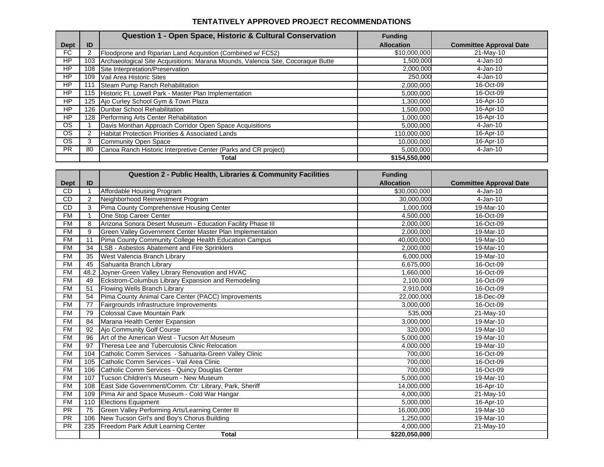#### **TENTATIVELY APPROVED PROJECT RECOMMENDATIONS**

|             |     | Question 1 - Open Space, Historic & Cultural Conservation                       | <b>Funding</b>    |                                |
|-------------|-----|---------------------------------------------------------------------------------|-------------------|--------------------------------|
| <b>Dept</b> | ID  |                                                                                 | <b>Allocation</b> | <b>Committee Approval Date</b> |
| FC.         |     | Floodprone and Riparian Land Acquistion (Combined w/ FC52)                      | \$10,000,000      | 21-May-10                      |
| HP          | 103 | Archaeological Site Acquisitions: Marana Mounds, Valencia Site, Cocoraque Butte | 1,500,000         | 4-Jan-10                       |
| HP          | 108 | Site Interpretation/Preservation                                                | 2,000,000         | 4-Jan-10                       |
| <b>HP</b>   | 109 | Vail Area Historic Sites                                                        | 250,000           | 4-Jan-10                       |
| HP          |     | Steam Pump Ranch Rehabilitation                                                 | 2,000,000         | 16-Oct-09                      |
| HP          |     | 115 Historic Ft. Lowell Park - Master Plan Implementation                       | 5,000,000         | 16-Oct-09                      |
| HP          |     | 125 Ajo Curley School Gym & Town Plaza                                          | 000,000.          | 16-Apr-10                      |
| HP          |     | 126 Dunbar School Rehabilitation                                                | 1,500,000         | 16-Apr-10                      |
| <b>HP</b>   |     | 128 Performing Arts Center Rehabilitation                                       | 1,000,000         | 16-Apr-10                      |
| <b>OS</b>   |     | Davis Monthan Approach Corridor Open Space Acquisitions                         | 5,000,000         | 4-Jan-10                       |
| <b>OS</b>   |     | <b>Habitat Protection Priorities &amp; Associated Lands</b>                     | 110,000,000       | 16-Apr-10                      |
| <b>OS</b>   | 3   | Community Open Space                                                            | 10,000,000        | 16-Apr-10                      |
| <b>PR</b>   | 80  | Canoa Ranch Historic Interpretive Center (Parks and CR project)                 | 5,000,000         | 4-Jan-10                       |
|             |     | Total                                                                           | \$154,550,000     |                                |

|             |                | <b>Question 2 - Public Health, Libraries &amp; Community Facilities</b> | <b>Funding</b>    |                                |
|-------------|----------------|-------------------------------------------------------------------------|-------------------|--------------------------------|
| <b>Dept</b> | ID             |                                                                         | <b>Allocation</b> | <b>Committee Approval Date</b> |
| <b>CD</b>   |                | Affordable Housing Program                                              | \$30,000,000      | $4-Jan-10$                     |
| CD          | $\overline{2}$ | Neighborhood Reinvestment Program                                       | 30.000.000        | $4-Jan-10$                     |
| <b>CD</b>   | 3              | Pima County Comprehensive Housing Center                                | 1,000,000         | 19-Mar-10                      |
| <b>FM</b>   |                | One Stop Career Center                                                  | 4.500.000         | 16-Oct-09                      |
| <b>FM</b>   | 8              | Arizona Sonora Desert Museum - Education Facility Phase III             | 2,000,000         | 16-Oct-09                      |
| <b>FM</b>   | 9              | Green Valley Government Center Master Plan Implementation               | 2.000.000         | 19-Mar-10                      |
| <b>FM</b>   | 11             | Pima County Community College Health Education Campus                   | 40,000,000        | 19-Mar-10                      |
| <b>FM</b>   | 34             | LSB - Asbestos Abatement and Fire Sprinklers                            | 2,000,000         | 19-Mar-10                      |
| <b>FM</b>   | 35             | West Valencia Branch Library                                            | 6,000,000         | 19-Mar-10                      |
| <b>FM</b>   | 45             | Sahuarita Branch Library                                                | 6,675,000         | 16-Oct-09                      |
| <b>FM</b>   | 48.2           | Joyner-Green Valley Library Renovation and HVAC                         | 1,660,000         | 16-Oct-09                      |
| <b>FM</b>   | 49             | Eckstrom-Columbus Library Expansion and Remodeling                      | 2,100,000         | 16-Oct-09                      |
| <b>FM</b>   | 51             | Flowing Wells Branch Library                                            | 2,910,000         | 16-Oct-09                      |
| <b>FM</b>   | 54             | Pima County Animal Care Center (PACC) Improvements                      | 22,000,000        | 18-Dec-09                      |
| <b>FM</b>   | 77             | Fairgrounds Infrastructure Improvements                                 | 3,000,000         | 16-Oct-09                      |
| <b>FM</b>   | 79             | Colossal Cave Mountain Park                                             | 535,000           | 21-May-10                      |
| <b>FM</b>   | 84             | Marana Health Center Expansion                                          | 3,000,000         | 19-Mar-10                      |
| <b>FM</b>   | 92             | Ajo Community Golf Course                                               | 320,000           | 19-Mar-10                      |
| <b>FM</b>   | 96             | Art of the American West - Tucson Art Museum                            | 5,000,000         | 19-Mar-10                      |
| <b>FM</b>   | 97             | Theresa Lee and Tuberculosis Clinic Relocation                          | 4,000,000         | 19-Mar-10                      |
| <b>FM</b>   | 104            | Catholic Comm Services - Sahuarita-Green Valley Clinic                  | 700.000           | 16-Oct-09                      |
| <b>FM</b>   | 105            | Catholic Comm Services - Vail Area Clinic                               | 700,000           | 16-Oct-09                      |
| <b>FM</b>   | 106            | Catholic Comm Services - Quincy Douglas Center                          | 700.000           | 16-Oct-09                      |
| <b>FM</b>   | 107            | Tucson Children's Museum - New Museum                                   | 5,000,000         | 19-Mar-10                      |
| FM          | 108            | East Side Government/Comm. Ctr: Library, Park, Sheriff                  | 14,000,000        | 16-Apr-10                      |
| <b>FM</b>   | 109            | Pima Air and Space Museum - Cold War Hangar                             | 4,000,000         | $21$ -May-10                   |
| <b>FM</b>   | 110            | <b>Elections Equipment</b>                                              | 5,000,000         | 16-Apr-10                      |
| <b>PR</b>   | 75             | Green Valley Performing Arts/Learning Center III                        | 16,000,000        | 19-Mar-10                      |
| <b>PR</b>   | 106            | New Tucson Girl's and Boy's Chorus Building                             | 1,250,000         | 19-Mar-10                      |
| <b>PR</b>   | 235            | Freedom Park Adult Learning Center                                      | 4,000,000         | 21-May-10                      |
|             |                | <b>Total</b>                                                            | \$220,050,000     |                                |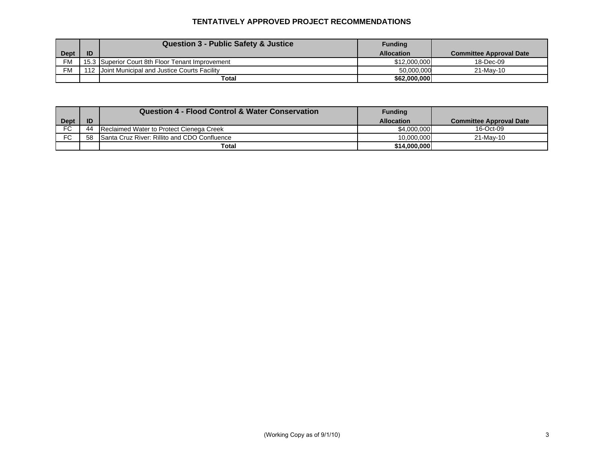# **TENTATIVELY APPROVED PROJECT RECOMMENDATIONS**

|             |    | <b>Question 3 - Public Safety &amp; Justice</b>  | <b>Funding</b>    |                                |
|-------------|----|--------------------------------------------------|-------------------|--------------------------------|
| <b>Dept</b> | ID |                                                  | <b>Allocation</b> | <b>Committee Approval Date</b> |
| <b>FM</b>   |    | 15.3 Superior Court 8th Floor Tenant Improvement | \$12,000,000      | 18-Dec-09                      |
| <b>FM</b>   |    | 112 Joint Municipal and Justice Courts Facility  | 50.000.000        | 21-May-10                      |
|             |    | Total                                            | \$62,000,000      |                                |

|             |    | <b>Question 4 - Flood Control &amp; Water Conservation</b> | Funding           |                                |
|-------------|----|------------------------------------------------------------|-------------------|--------------------------------|
| <b>Dept</b> | ID |                                                            | <b>Allocation</b> | <b>Committee Approval Date</b> |
| FC.         | 44 | Reclaimed Water to Protect Cienega Creek                   | \$4,000,000       | 16-Oct-09                      |
| FC          | 58 | Santa Cruz River: Rillito and CDO Confluence               | 10.000.000        | 21-May-10                      |
|             |    | Total                                                      | \$14,000,000      |                                |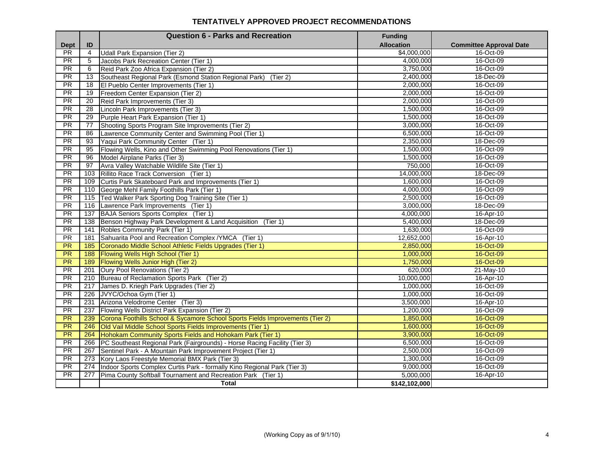#### **TENTATIVELY APPROVED PROJECT RECOMMENDATIONS**

|                 |                | <b>Question 6 - Parks and Recreation</b>                                      | <b>Funding</b>    |                                |
|-----------------|----------------|-------------------------------------------------------------------------------|-------------------|--------------------------------|
| <b>Dept</b>     | ID             |                                                                               | <b>Allocation</b> | <b>Committee Approval Date</b> |
| $\overline{PR}$ | $\overline{4}$ | <b>Udall Park Expansion (Tier 2)</b>                                          | \$4,000,000       | 16-Oct-09                      |
| $\overline{PR}$ | 5              | Jacobs Park Recreation Center (Tier 1)                                        | 4,000,000         | 16-Oct-09                      |
| $\overline{PR}$ | 6              | Reid Park Zoo Africa Expansion (Tier 2)                                       | 3,750,000         | 16-Oct-09                      |
| PR              | 13             | Southeast Regional Park (Esmond Station Regional Park)<br>(Tier 2)            | 2,400,000         | 18-Dec-09                      |
| $\overline{PR}$ | 18             | El Pueblo Center Improvements (Tier 1)                                        | 2,000,000         | 16-Oct-09                      |
| <b>PR</b>       | 19             | Freedom Center Expansion (Tier 2)                                             | 2,000,000         | 16-Oct-09                      |
| PR              | 20             | Reid Park Improvements (Tier 3)                                               | 2,000,000         | 16-Oct-09                      |
| PR              | 28             | Lincoln Park Improvements (Tier 3)                                            | 1,500,000         | 16-Oct-09                      |
| $\overline{PR}$ | 29             | Purple Heart Park Expansion (Tier 1)                                          | 1,500,000         | 16-Oct-09                      |
| PR              | 77             | Shooting Sports Program Site Improvements (Tier 2)                            | 3,000,000         | 16-Oct-09                      |
| <b>PR</b>       | 86             | Lawrence Community Center and Swimming Pool (Tier 1)                          | 6,500,000         | 16-Oct-09                      |
| PR              | 93             | Yaqui Park Community Center (Tier 1)                                          | 2,350,000         | 18-Dec-09                      |
| $\overline{PR}$ | 95             | Flowing Wells, Kino and Other Swimming Pool Renovations (Tier 1)              | 1,500,000         | 16-Oct-09                      |
| PR              | 96             | Model Airplane Parks (Tier 3)                                                 | 1,500,000         | 16-Oct-09                      |
| $\overline{PR}$ | 97             | Avra Valley Watchable Wildlife Site (Tier 1)                                  | 750,000           | 16-Oct-09                      |
| <b>PR</b>       | 103            | Rillito Race Track Conversion (Tier 1)                                        | 14,000,000        | 18-Dec-09                      |
| PR              | 109            | Curtis Park Skateboard Park and Improvements (Tier 1)                         | 1,600,000         | 16-Oct-09                      |
| PR              | 110            | George Mehl Family Foothills Park (Tier 1)                                    | 4,000,000         | 16-Oct-09                      |
| <b>PR</b>       | 115            | Ted Walker Park Sporting Dog Training Site (Tier 1)                           | 2,500,000         | 16-Oct-09                      |
| <b>PR</b>       | 116            | Lawrence Park Improvements (Tier 1)                                           | 3.000.000         | 18-Dec-09                      |
| <b>PR</b>       | 137            | BAJA Seniors Sports Complex (Tier 1)                                          | 4.000.000         | 16-Apr-10                      |
| PR              | 138            | Benson Highway Park Development & Land Acquisition (Tier 1)                   | 5,400,000         | 18-Dec-09                      |
| PR              | 141            | Robles Community Park (Tier 1)                                                | 1,630,000         | 16-Oct-09                      |
| PR              | 181            | Sahuarita Pool and Recreation Complex / YMCA (Tier 1)                         | 12,652,000        | 16-Apr-10                      |
| PR              | 185            | Coronado Middle School Athletic Fields Upgrades (Tier 1)                      | 2,850,000         | 16-Oct-09                      |
| <b>PR</b>       | 188            | Flowing Wells High School (Tier 1)                                            | 1,000,000         | 16-Oct-09                      |
| PR              | 189            | Flowing Wells Junior High (Tier 2)                                            | 1,750,000         | 16-Oct-09                      |
| <b>PR</b>       | 201            | Oury Pool Renovations (Tier 2)                                                | 620,000           | 21-May-10                      |
| <b>PR</b>       | 210            | Bureau of Reclamation Sports Park (Tier 2)                                    | 10,000,000        | 16-Apr-10                      |
| PR              | 217            | James D. Kriegh Park Upgrades (Tier 2)                                        | 1,000,000         | 16-Oct-09                      |
| PR              | 226            | JVYC/Ochoa Gym (Tier 1)                                                       | 1,000,000         | 16-Oct-09                      |
| <b>PR</b>       | 231            | Arizona Velodrome Center (Tier 3)                                             | 3,500,000         | 16-Apr-10                      |
| PR              | 237            | Flowing Wells District Park Expansion (Tier 2)                                | 1,200,000         | 16-Oct-09                      |
| PR              | 239            | Corona Foothills School & Sycamore School Sports Fields Improvements (Tier 2) | 1,850,000         | 16-Oct-09                      |
| PR              | 246            | Old Vail Middle School Sports Fields Improvements (Tier 1)                    | 1,600,000         | 16-Oct-09                      |
| $\overline{PR}$ | 264            | Hohokam Community Sports Fields and Hohokam Park (Tier 1)                     | 3,900,000         | 16-Oct-09                      |
| PR              | 266            | PC Southeast Regional Park (Fairgrounds) - Horse Racing Facility (Tier 3)     | 6,500,000         | 16-Oct-09                      |
| <b>PR</b>       | 267            | Sentinel Park - A Mountain Park Improvement Project (Tier 1)                  | 2,500,000         | 16-Oct-09                      |
| <b>PR</b>       | 273            | Kory Laos Freestyle Memorial BMX Park (Tier 3)                                | 1,300,000         | 16-Oct-09                      |
| PR              | 274            | Indoor Sports Complex Curtis Park - formally Kino Regional Park (Tier 3)      | 9,000,000         | 16-Oct-09                      |
| $\overline{PR}$ | 277            | Pima County Softball Tournament and Recreation Park (Tier 1)                  | 5,000,000         | 16-Apr-10                      |
|                 |                | <b>Total</b>                                                                  | \$142,102,000     |                                |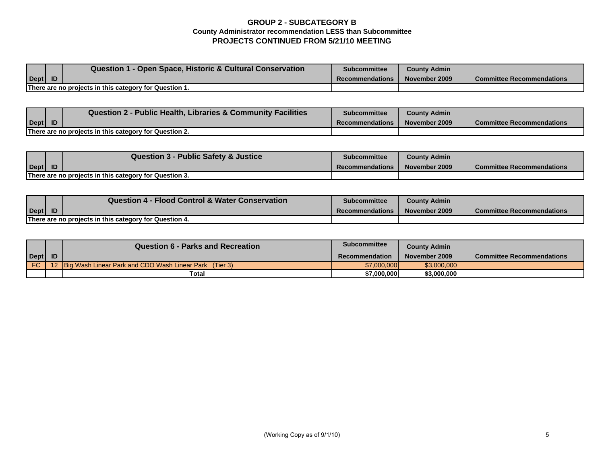# **GROUP 2 - SUBCATEGORY B County Administrator recommendation LESS than Subcommittee PROJECTS CONTINUED FROM 5/21/10 MEETING**

|      | Question 1 - Open Space, Historic & Cultural Conservation | <b>Subcommittee</b>    | <b>County Admin</b> |                                  |
|------|-----------------------------------------------------------|------------------------|---------------------|----------------------------------|
| Dept |                                                           | <b>Recommendations</b> | November 2009       | <b>Committee Recommendations</b> |
|      | There are no projects in this category for Question 1.    |                        |                     |                                  |

|                      | Question 2 - Public Health, Libraries & Community Facilities | <b>Subcommittee</b>    | <b>County Admin</b> |                                  |
|----------------------|--------------------------------------------------------------|------------------------|---------------------|----------------------------------|
| $\vert$ Dept $\vert$ |                                                              | <b>Recommendations</b> | November 2009       | <b>Committee Recommendations</b> |
|                      | There are no projects in this category for Question 2.       |                        |                     |                                  |

|      | Question 3 - Public Safety & Justice                   | Subcommittee           | <b>County Admin</b> |                                  |
|------|--------------------------------------------------------|------------------------|---------------------|----------------------------------|
| Dept |                                                        | <b>Recommendations</b> | November 2009       | <b>Committee Recommendations</b> |
|      | There are no projects in this category for Question 3. |                        |                     |                                  |

|                                                        |           | <b>Question 4 - Flood Control &amp; Water Conservation</b> | Subcommittee           | <b>County Admin</b> |                                  |
|--------------------------------------------------------|-----------|------------------------------------------------------------|------------------------|---------------------|----------------------------------|
| Dept                                                   | <b>ID</b> |                                                            | <b>Recommendations</b> | November 2009       | <b>Committee Recommendations</b> |
| There are no projects in this category for Question 4. |           |                                                            |                        |                     |                                  |

|      | Question 6 - Parks and Recreation                             | <b>Subcommittee</b>   | <b>County Admin</b> |                                  |
|------|---------------------------------------------------------------|-----------------------|---------------------|----------------------------------|
| Dept |                                                               | <b>Recommendation</b> | November 2009       | <b>Committee Recommendations</b> |
| FC.  | <b>Big Wash Linear Park and CDO Wash Linear Park</b> (Tier 3) | \$7,000,000           | \$3,000,000         |                                  |
|      | <b>Total</b>                                                  | \$7,000,000           | \$3,000,000         |                                  |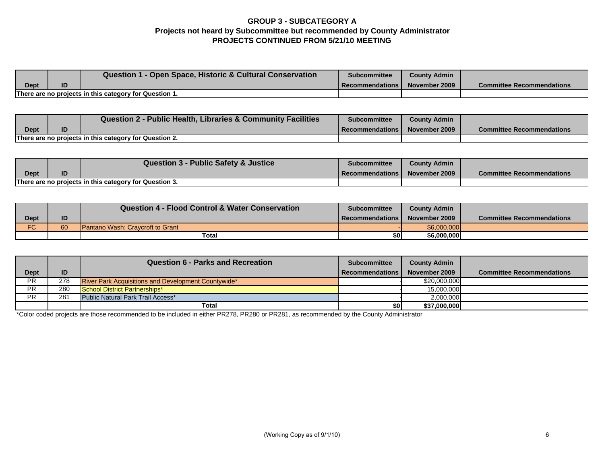# **GROUP 3 - SUBCATEGORY A Projects not heard by Subcommittee but recommended by County Administrator PROJECTS CONTINUED FROM 5/21/10 MEETING**

|                                                        |    | <b>Question 1 - Open Space, Historic &amp; Cultural Conservation</b> | <b>Subcommittee</b> | <b>County Admin</b> |                                  |
|--------------------------------------------------------|----|----------------------------------------------------------------------|---------------------|---------------------|----------------------------------|
| Dept                                                   | ID |                                                                      | l Recommendations l | November 2009       | <b>Committee Recommendations</b> |
| There are no projects in this category for Question 1. |    |                                                                      |                     |                     |                                  |

|                                                        |  | <b>Question 2 - Public Health, Libraries &amp; Community Facilities</b> | Subcommittee               | <b>County Admin</b> |                                  |
|--------------------------------------------------------|--|-------------------------------------------------------------------------|----------------------------|---------------------|----------------------------------|
| <b>Dept</b>                                            |  |                                                                         | <b>I</b> Recommendations I | November 2009       | <b>Committee Recommendations</b> |
| There are no projects in this category for Question 2. |  |                                                                         |                            |                     |                                  |

|                                                        |    | <b>Question 3 - Public Safety &amp; Justice</b> | <b>Subcommittee</b>      | <b>County Admin</b> |                                  |
|--------------------------------------------------------|----|-------------------------------------------------|--------------------------|---------------------|----------------------------------|
| Dept                                                   | ID |                                                 | <b>Recommendations I</b> | November 2009       | <b>Committee Recommendations</b> |
| There are no projects in this category for Question 3. |    |                                                 |                          |                     |                                  |

|                          |    | <b>Question 4 - Flood Control &amp; Water Conservation</b> | <b>Subcommittee</b> | <b>County Admin</b> |                                  |
|--------------------------|----|------------------------------------------------------------|---------------------|---------------------|----------------------------------|
| Dept                     | ID |                                                            | Recommendations I   | November 2009       | <b>Committee Recommendations</b> |
| $\overline{C}$<br>.<br>U | 60 | <b>Pantano Wash: Cravcroft to Grant</b>                    |                     | \$6,000,000         |                                  |
|                          |    | Total                                                      | \$0                 | \$6,000,000         |                                  |

|             |     | <b>Question 6 - Parks and Recreation</b>                   | <b>Subcommittee</b>    | <b>County Admin</b> |                                  |
|-------------|-----|------------------------------------------------------------|------------------------|---------------------|----------------------------------|
| <b>Dept</b> | ID  |                                                            | <b>Recommendations</b> | November 2009       | <b>Committee Recommendations</b> |
| <b>PR</b>   | 278 | <b>River Park Acquisitions and Development Countywide*</b> |                        | \$20,000,000        |                                  |
| <b>PR</b>   | 280 | School District Partnerships*                              |                        | 15,000,000          |                                  |
| <b>PR</b>   | 281 | Public Natural Park Trail Access*                          |                        | 2,000,000           |                                  |
|             |     | Total                                                      | \$0                    | \$37,000,000        |                                  |

\*Color coded projects are those recommended to be included in either PR278, PR280 or PR281, as recommended by the County Administrator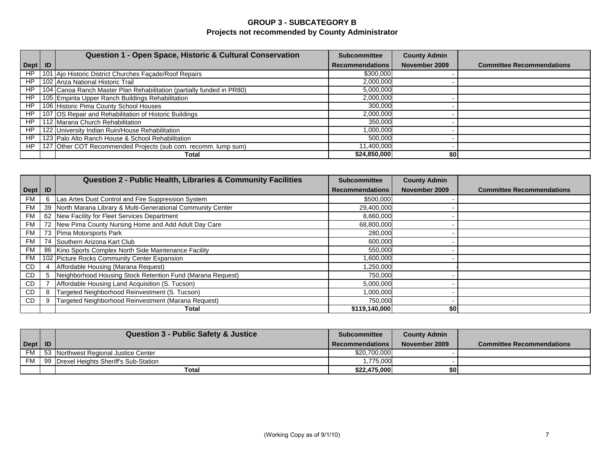# **GROUP 3 - SUBCATEGORY B Projects not recommended by County Administrator**

|           | Question 1 - Open Space, Historic & Cultural Conservation             | <b>Subcommittee</b>    | <b>County Admin</b> |                                  |
|-----------|-----------------------------------------------------------------------|------------------------|---------------------|----------------------------------|
| Dept   ID |                                                                       | <b>Recommendations</b> | November 2009       | <b>Committee Recommendations</b> |
| <b>HP</b> | 101 Ajo Historic District Churches Façade/Roof Repairs                | \$300,000              |                     |                                  |
| HP        | 102 Anza National Historic Trail                                      | 2,000,000              |                     |                                  |
| HP        | 104 Canoa Ranch Master Plan Rehabilitation (partially funded in PR80) | 5,000,000              |                     |                                  |
| HP        | 105 Empirita Upper Ranch Buildings Rehabilitation                     | 2,000,000              |                     |                                  |
| HP        | 106 Historic Pima County School Houses                                | 300,000                |                     |                                  |
| HP        | 107 OS Repair and Rehabilitation of Historic Buildings                | 2,000,000              |                     |                                  |
| HP        | 112 Marana Church Rehabilitation                                      | 350,000                |                     |                                  |
| HP        | 122 University Indian Ruin/House Rehabilitation                       | 1,000,000              |                     |                                  |
| HP        | 123 Palo Alto Ranch House & School Rehabilitation                     | 500.000                |                     |                                  |
| HP        | 127 Other COT Recommended Projects (sub com. recomm. lump sum)        | 11,400,000             |                     |                                  |
|           | Total                                                                 | \$24,850,000           | \$0                 |                                  |

|           |    | Question 2 - Public Health, Libraries & Community Facilities  | <b>Subcommittee</b>    | <b>County Admin</b> |                                  |
|-----------|----|---------------------------------------------------------------|------------------------|---------------------|----------------------------------|
| Dept      | ID |                                                               | <b>Recommendations</b> | November 2009       | <b>Committee Recommendations</b> |
| FM        | 6  | Las Artes Dust Control and Fire Suppression System            | \$500,000              |                     |                                  |
| <b>FM</b> |    | 39 North Marana Library & Multi-Generational Community Center | 29,400,000             |                     |                                  |
| FM I      |    | 62 New Facility for Fleet Services Department                 | 8,660,000              |                     |                                  |
| <b>FM</b> |    | 72 New Pima County Nursing Home and Add Adult Day Care        | 68,800,000             |                     |                                  |
| <b>FM</b> |    | 73 Pima Motorsports Park                                      | 280,000                |                     |                                  |
| FM        |    | 74 Southern Arizona Kart Club                                 | 600,000                |                     |                                  |
| <b>FM</b> |    | 86 Kino Sports Complex North Side Maintenance Facility        | 550,000                |                     |                                  |
| FM        |    | 102 Picture Rocks Community Center Expansion                  | 1,600,000              |                     |                                  |
| CD        |    | Affordable Housing (Marana Request)                           | 1,250,000              |                     |                                  |
| CD        | 5  | Neighborhood Housing Stock Retention Fund (Marana Request)    | 750,000                |                     |                                  |
| CD        |    | Affordable Housing Land Acquisition (S. Tucson)               | 5,000,000              |                     |                                  |
| CD.       | 8  | Targeted Neighborhood Reinvestment (S. Tucson)                | 1,000,000              |                     |                                  |
| CD        |    | Targeted Neighborhood Reinvestment (Marana Request)           | 750,000                |                     |                                  |
|           |    | Total                                                         | \$119,140,000          | \$0                 |                                  |

|           |           | <b>Question 3 - Public Safety &amp; Justice</b> | <b>Subcommittee</b>    | <b>County Admin</b> |                                  |
|-----------|-----------|-------------------------------------------------|------------------------|---------------------|----------------------------------|
| Dept      | <b>ID</b> |                                                 | <b>Recommendations</b> | November 2009       | <b>Committee Recommendations</b> |
| <b>FM</b> |           | 53 Northwest Regional Justice Center            | \$20,700,000           |                     |                                  |
| FM        |           | 99 Drexel Heights Sheriff's Sub-Station         | ,775,000               |                     |                                  |
|           |           | Total                                           | \$22.475.000           | \$01                |                                  |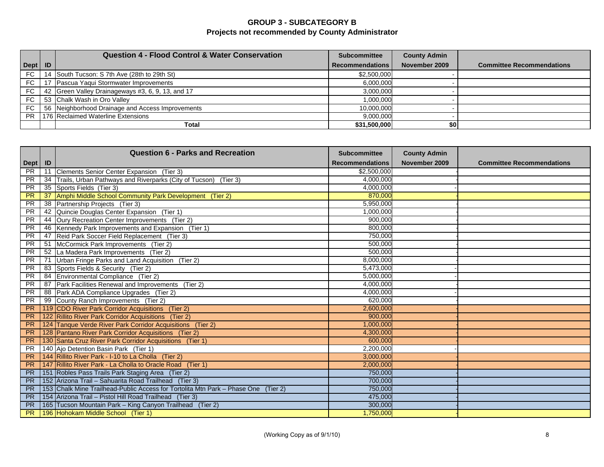# **GROUP 3 - SUBCATEGORY B Projects not recommended by County Administrator**

|           |    | <b>Question 4 - Flood Control &amp; Water Conservation</b> | <b>Subcommittee</b>    | <b>County Admin</b> |                                  |
|-----------|----|------------------------------------------------------------|------------------------|---------------------|----------------------------------|
| Dept   ID |    |                                                            | <b>Recommendations</b> | November 2009       | <b>Committee Recommendations</b> |
| FC        | 14 | South Tucson: S 7th Ave (28th to 29th St)                  | \$2,500,000            |                     |                                  |
| <b>FC</b> |    | Pascua Yaqui Stormwater Improvements                       | 6,000,000              |                     |                                  |
| FC        |    | 42 Green Valley Drainageways #3, 6, 9, 13, and 17          | 3,000,000              |                     |                                  |
| FC        |    | 53 Chalk Wash in Oro Valley                                | 1,000,000              |                     |                                  |
| <b>FC</b> |    | 56 Neighborhood Drainage and Access Improvements           | 10,000,000             |                     |                                  |
| PR.       |    | 176 Reclaimed Waterline Extensions                         | 9,000,000              |                     |                                  |
|           |    | Total                                                      | \$31,500,000           | \$0                 |                                  |

|           |     | <b>Question 6 - Parks and Recreation</b>                                           | <b>Subcommittee</b>    | <b>County Admin</b> |                                  |
|-----------|-----|------------------------------------------------------------------------------------|------------------------|---------------------|----------------------------------|
| Dept   ID |     |                                                                                    | <b>Recommendations</b> | November 2009       | <b>Committee Recommendations</b> |
| <b>PR</b> | 11  | Clements Senior Center Expansion (Tier 3)                                          | \$2,500,000            |                     |                                  |
| <b>PR</b> | 34  | Trails, Urban Pathways and Riverparks (City of Tucson) (Tier 3)                    | 4,000,000              |                     |                                  |
| <b>PR</b> | 35  | Sports Fields (Tier 3)                                                             | 4,000,000              |                     |                                  |
| <b>PR</b> | 37  | Amphi Middle School Community Park Development (Tier 2)                            | 870,000                |                     |                                  |
| <b>PR</b> | 38  | Partnership Projects (Tier 3)                                                      | 5,950,000              |                     |                                  |
| <b>PR</b> | 42  | Quincie Douglas Center Expansion (Tier 1)                                          | 1,000,000              |                     |                                  |
| <b>PR</b> | 44  | Oury Recreation Center Improvements (Tier 2)                                       | 900,000                |                     |                                  |
| <b>PR</b> | 46  | Kennedy Park Improvements and Expansion (Tier 1)                                   | 800,000                |                     |                                  |
| <b>PR</b> | 47  | Reid Park Soccer Field Replacement (Tier 3)                                        | 750,000                |                     |                                  |
| <b>PR</b> | 51  | McCormick Park Improvements (Tier 2)                                               | 500,000                |                     |                                  |
| <b>PR</b> | 52  | La Madera Park Improvements (Tier 2)                                               | 500.000                |                     |                                  |
| <b>PR</b> | -71 | Urban Fringe Parks and Land Acquisition (Tier 2)                                   | 8,000,000              |                     |                                  |
| <b>PR</b> | 83  | Sports Fields & Security (Tier 2)                                                  | 5,473,000              |                     |                                  |
| <b>PR</b> | 84  | Environmental Compliance (Tier 2)                                                  | 5,000,000              |                     |                                  |
| <b>PR</b> | 87  | Park Facilities Renewal and Improvements (Tier 2)                                  | 4,000,000              |                     |                                  |
| PR        | 88  | Park ADA Compliance Upgrades (Tier 2)                                              | 4,000,000              |                     |                                  |
| <b>PR</b> | 99  | County Ranch Improvements (Tier 2)                                                 | 620,000                |                     |                                  |
| <b>PR</b> |     | 119 CDO River Park Corridor Acquisitions (Tier 2)                                  | 2,600,000              |                     |                                  |
| <b>PR</b> |     | 122 Rillito River Park Corridor Acquisitions (Tier 2)                              | 900.000                |                     |                                  |
| <b>PR</b> |     | 124 Tanque Verde River Park Corridor Acquisitions (Tier 2)                         | 1,000,000              |                     |                                  |
| <b>PR</b> |     | 128 Pantano River Park Corridor Acquisitions (Tier 2)                              | 4,300,000              |                     |                                  |
| <b>PR</b> |     | 130 Santa Cruz River Park Corridor Acquisitions (Tier 1)                           | 600,000                |                     |                                  |
| <b>PR</b> |     | 140 Ajo Detention Basin Park (Tier 1)                                              | 2,200,000              |                     |                                  |
| <b>PR</b> |     | 144 Rillito River Park - I-10 to La Cholla (Tier 2)                                | 3,000,000              |                     |                                  |
| <b>PR</b> |     | 147 Rillito River Park - La Cholla to Oracle Road (Tier 1)                         | 2,000,000              |                     |                                  |
| <b>PR</b> |     | 151 Robles Pass Trails Park Staging Area (Tier 2)                                  | 750,000                |                     |                                  |
| <b>PR</b> |     | 152 Arizona Trail - Sahuarita Road Trailhead (Tier 3)                              | 700,000                |                     |                                  |
| <b>PR</b> |     | 153 Chalk Mine Trailhead-Public Access for Tortolita Mtn Park - Phase One (Tier 2) | 750,000                |                     |                                  |
| <b>PR</b> |     | 154 Arizona Trail - Pistol Hill Road Trailhead (Tier 3)                            | 475,000                |                     |                                  |
| <b>PR</b> |     | 165 Tucson Mountain Park - King Canyon Trailhead (Tier 2)                          | 300,000                |                     |                                  |
| <b>PR</b> |     | 196 Hohokam Middle School (Tier 1)                                                 | 1,750,000              |                     |                                  |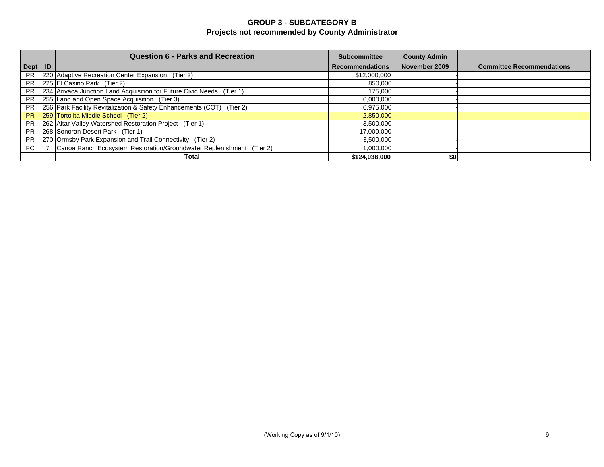# **GROUP 3 - SUBCATEGORY B Projects not recommended by County Administrator**

|           | <b>Question 6 - Parks and Recreation</b>                              | <b>Subcommittee</b>    | <b>County Admin</b> |                                  |
|-----------|-----------------------------------------------------------------------|------------------------|---------------------|----------------------------------|
| Dept   ID |                                                                       | <b>Recommendations</b> | November 2009       | <b>Committee Recommendations</b> |
| <b>PR</b> | 220 Adaptive Recreation Center Expansion (Tier 2)                     | \$12,000,000           |                     |                                  |
| <b>PR</b> | 225 El Casino Park (Tier 2)                                           | 850,000                |                     |                                  |
| <b>PR</b> | 234 Arivaca Junction Land Acquisition for Future Civic Needs (Tier 1) | 175,000                |                     |                                  |
| <b>PR</b> | 255 Land and Open Space Acquisition (Tier 3)                          | 6,000,000              |                     |                                  |
| <b>PR</b> | 256 Park Facility Revitalization & Safety Enhancements (COT) (Tier 2) | 6,975,000              |                     |                                  |
| <b>PR</b> | 259 Tortolita Middle School (Tier 2)                                  | 2,850,000              |                     |                                  |
| <b>PR</b> | 262 Altar Valley Watershed Restoration Project (Tier 1)               | 3,500,000              |                     |                                  |
| <b>PR</b> | 268 Sonoran Desert Park (Tier 1)                                      | 17,000,000             |                     |                                  |
| <b>PR</b> | 270 Ormsby Park Expansion and Trail Connectivity (Tier 2)             | 3,500,000              |                     |                                  |
| FC        | Canoa Ranch Ecosystem Restoration/Groundwater Replenishment (Tier 2)  | 1,000,000              |                     |                                  |
|           | Total                                                                 | \$124,038,000          | \$0                 |                                  |